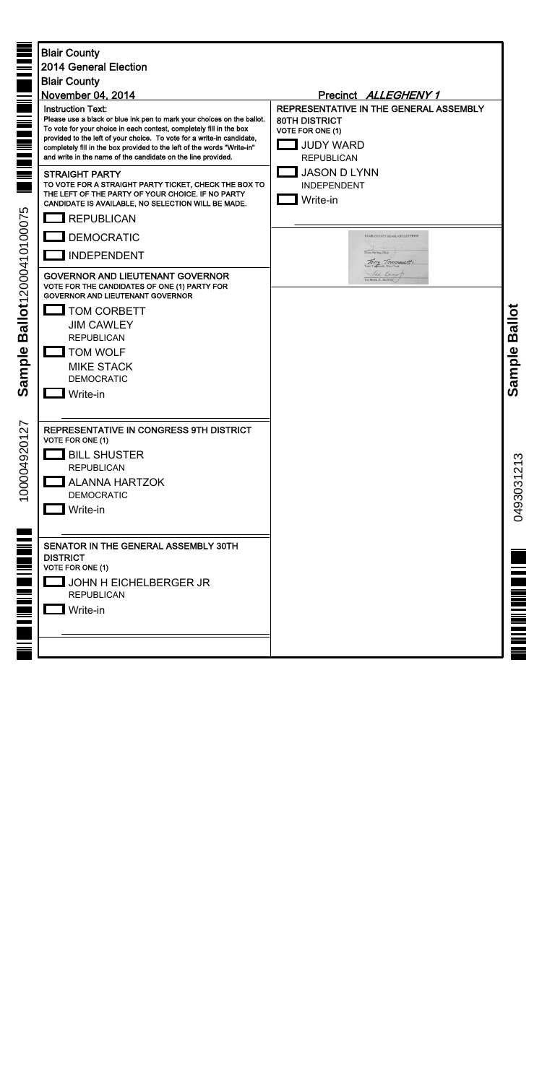| <b>MATHEMENT MATHEMATIQUE</b><br>Ballot12000410100075<br>Sample | <b>Blair County</b><br>2014 General Election<br><b>Blair County</b><br>November 04, 2014<br><b>Instruction Text:</b><br>Please use a black or blue ink pen to mark your choices on the ballot.<br>To vote for your choice in each contest, completely fill in the box<br>provided to the left of your choice. To vote for a write-in candidate,<br>completely fill in the box provided to the left of the words "Write-in"<br>and write in the name of the candidate on the line provided.<br><b>STRAIGHT PARTY</b><br>TO VOTE FOR A STRAIGHT PARTY TICKET, CHECK THE BOX TO<br>THE LEFT OF THE PARTY OF YOUR CHOICE. IF NO PARTY<br>CANDIDATE IS AVAILABLE, NO SELECTION WILL BE MADE.<br>$\Box$ REPUBLICAN<br><b>DEMOCRATIC</b><br><b>INDEPENDENT</b><br><b>GOVERNOR AND LIEUTENANT GOVERNOR</b><br>VOTE FOR THE CANDIDATES OF ONE (1) PARTY FOR<br><b>GOVERNOR AND LIEUTENANT GOVERNOR</b><br><b>TOM CORBETT</b><br><b>JIM CAWLEY</b><br><b>REPUBLICAN</b><br><b>TOM WOLF</b><br><b>MIKE STACK</b><br><b>DEMOCRATIC</b> | Precinct ALLEGHENY 1<br>REPRESENTATIVE IN THE GENERAL ASSEMBLY<br><b>80TH DISTRICT</b><br><b>VOTE FOR ONE (1)</b><br><b>JUDY WARD</b><br><b>REPUBLICAN</b><br><b>JASON D LYNN</b><br><b>INDEPENDENT</b><br>Write-in<br>BLAIR COUNTY BOARD OF ELECTIONS<br>Diane Meling, Chair<br>Terry Tomoresett<br>Jed Benut<br>Ted Beam, Jr., Secretary | <b>Ballot</b><br>Sample |
|-----------------------------------------------------------------|----------------------------------------------------------------------------------------------------------------------------------------------------------------------------------------------------------------------------------------------------------------------------------------------------------------------------------------------------------------------------------------------------------------------------------------------------------------------------------------------------------------------------------------------------------------------------------------------------------------------------------------------------------------------------------------------------------------------------------------------------------------------------------------------------------------------------------------------------------------------------------------------------------------------------------------------------------------------------------------------------------------------------|--------------------------------------------------------------------------------------------------------------------------------------------------------------------------------------------------------------------------------------------------------------------------------------------------------------------------------------------|-------------------------|
| 27<br>1000049201                                                | REPRESENTATIVE IN CONGRESS 9TH DISTRICT<br>VOTE FOR ONE (1)<br><b>BILL SHUSTER</b><br><b>REPUBLICAN</b><br><b>ALANNA HARTZOK</b><br><b>DEMOCRATIC</b><br>Write-in                                                                                                                                                                                                                                                                                                                                                                                                                                                                                                                                                                                                                                                                                                                                                                                                                                                          |                                                                                                                                                                                                                                                                                                                                            | 0493031213              |
| <u>milian di matematika di se</u>                               | SENATOR IN THE GENERAL ASSEMBLY 30TH<br><b>DISTRICT</b><br><b>VOTE FOR ONE (1)</b><br>JOHN H EICHELBERGER JR<br><b>REPUBLICAN</b><br>Write-in                                                                                                                                                                                                                                                                                                                                                                                                                                                                                                                                                                                                                                                                                                                                                                                                                                                                              |                                                                                                                                                                                                                                                                                                                                            | ≣                       |